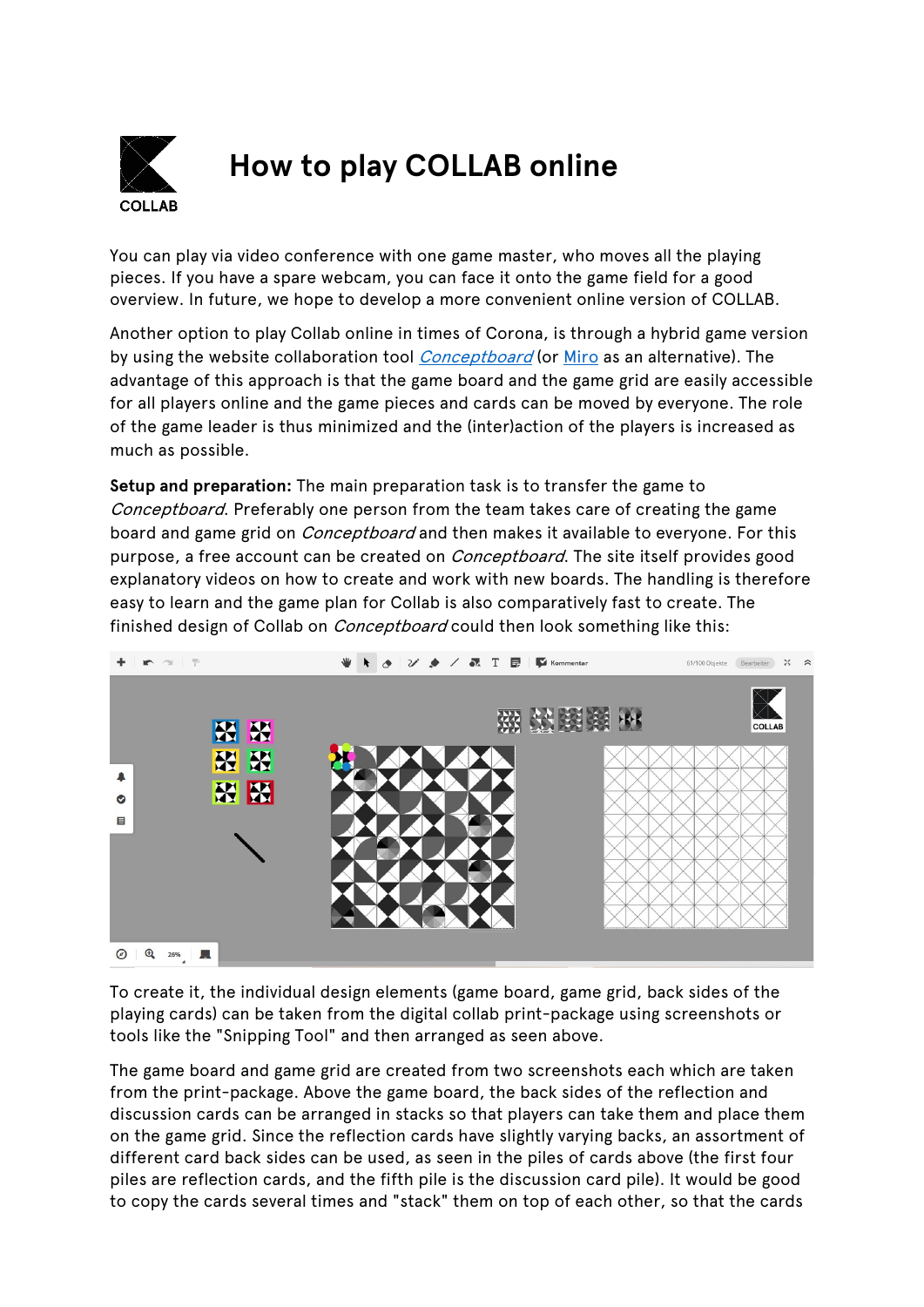

## **How to play COLLAB online**

You can play via video conference with one game master, who moves all the playing pieces. If you have a spare webcam, you can face it onto the game field for a good overview. In future, we hope to develop a more convenient online version of COLLAB.

Another option to play Collab online in times of Corona, is through a hybrid game version by using the website collaboration tool *[Conceptboard](https://conceptboard.com/)* (or [Miro](https://miro.com/) as an alternative). The advantage of this approach is that the game board and the game grid are easily accessible for all players online and the game pieces and cards can be moved by everyone. The role of the game leader is thus minimized and the (inter)action of the players is increased as much as possible.

**Setup and preparation:** The main preparation task is to transfer the game to Conceptboard. Preferably one person from the team takes care of creating the game board and game grid on *Conceptboard* and then makes it available to everyone. For this purpose, a free account can be created on *Conceptboard*. The site itself provides good explanatory videos on how to create and work with new boards. The handling is therefore easy to learn and the game plan for Collab is also comparatively fast to create. The finished design of Collab on *Conceptboard* could then look something like this:



To create it, the individual design elements (game board, game grid, back sides of the playing cards) can be taken from the digital collab print-package using screenshots or tools like the "Snipping Tool" and then arranged as seen above.

The game board and game grid are created from two screenshots each which are taken from the print-package. Above the game board, the back sides of the reflection and discussion cards can be arranged in stacks so that players can take them and place them on the game grid. Since the reflection cards have slightly varying backs, an assortment of different card back sides can be used, as seen in the piles of cards above (the first four piles are reflection cards, and the fifth pile is the discussion card pile). It would be good to copy the cards several times and "stack" them on top of each other, so that the cards